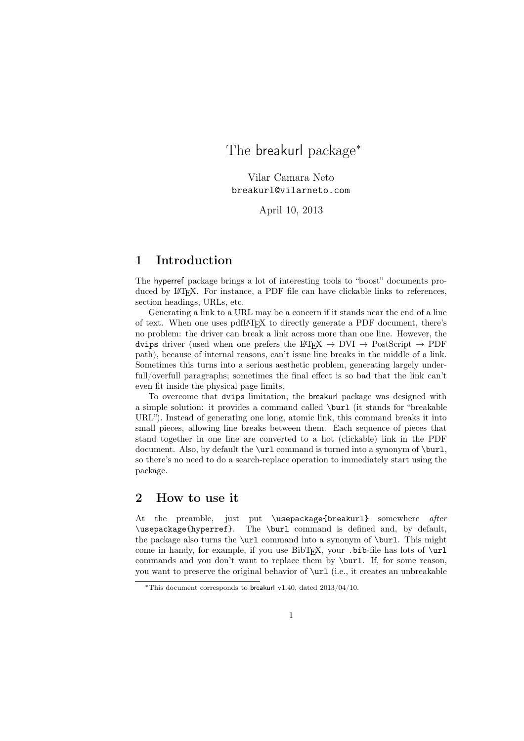# The breakurl package<sup>∗</sup>

Vilar Camara Neto breakurl@vilarneto.com

April 10, 2013

# 1 Introduction

The hyperref package brings a lot of interesting tools to "boost" documents produced by LAT<sub>EX</sub>. For instance, a PDF file can have clickable links to references, section headings, URLs, etc.

Generating a link to a URL may be a concern if it stands near the end of a line of text. When one uses pdfL<sup>A</sup>TEX to directly generate a PDF document, there's no problem: the driver can break a link across more than one line. However, the dvips driver (used when one prefers the LAT<sub>EX</sub>  $\rightarrow$  DVI  $\rightarrow$  PostScript  $\rightarrow$  PDF path), because of internal reasons, can't issue line breaks in the middle of a link. Sometimes this turns into a serious aesthetic problem, generating largely underfull/overfull paragraphs; sometimes the final effect is so bad that the link can't even fit inside the physical page limits.

To overcome that dvips limitation, the breakurl package was designed with a simple solution: it provides a command called \burl (it stands for "breakable URL"). Instead of generating one long, atomic link, this command breaks it into small pieces, allowing line breaks between them. Each sequence of pieces that stand together in one line are converted to a hot (clickable) link in the PDF document. Also, by default the \url command is turned into a synonym of \burl, so there's no need to do a search-replace operation to immediately start using the package.

# 2 How to use it

At the preamble, just put \usepackage{breakurl} somewhere after \usepackage{hyperref}. The \burl command is defined and, by default, the package also turns the  $\url$  command into a synonym of  $\bur1$ . This might come in handy, for example, if you use  $BibT<sub>F</sub>X$ , your .bib-file has lots of  $\url$ commands and you don't want to replace them by \burl. If, for some reason, you want to preserve the original behavior of \url (i.e., it creates an unbreakable

<sup>∗</sup>This document corresponds to breakurl v1.40, dated 2013/04/10.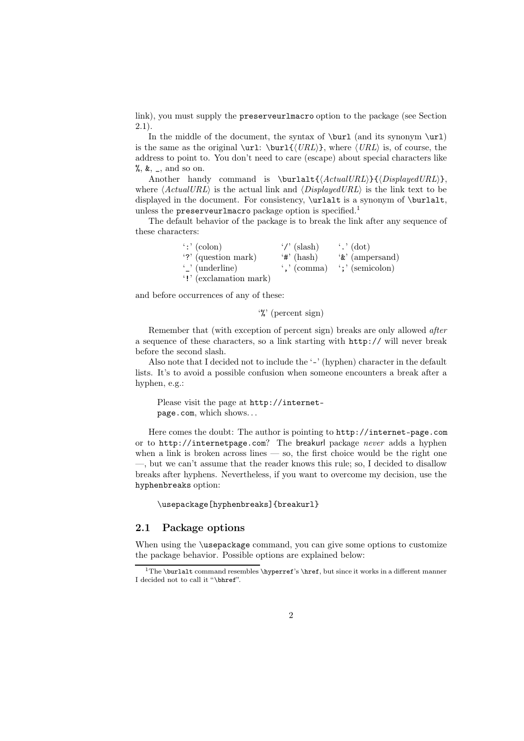link), you must supply the preserveurlmacro option to the package (see Section 2.1).

In the middle of the document, the syntax of  $\burl$  (and its synonym  $\url$ ) is the same as the original  $\url:\ \burl\{\langle URL \rangle\}$ , where  $\langle URL \rangle$  is, of course, the address to point to. You don't need to care (escape) about special characters like  $\%, \&$ ,  $\_,$  and so on.

Another handy command is  $\burlalt({ActualURL}}{\langle Displayed URL\rangle\},$ where  $\langle ActualURL \rangle$  is the actual link and  $\langle DisplayedURL \rangle$  is the link text to be displayed in the document. For consistency,  $\urlalt$  is a synonym of  $\burlalt$ . unless the preserveurlmacro package option is specified.<sup>1</sup>

The default behavior of the package is to break the link after any sequence of these characters:

| $\cdot$ : $\cdot$ (colon) | $\gamma$ (slash)  | $\cdot$ .' (dot)           |
|---------------------------|-------------------|----------------------------|
| '?' (question mark)       | $'$ #' (hash)     | $\mathscr{E}'$ (ampersand) |
| $\cdot$ (underline)       | $\cdot$ , (comma) | $\cdot$ ;' (semicolon)     |
| '!' (exclamation mark)    |                   |                            |

and before occurrences of any of these:

'%' (percent sign)

Remember that (with exception of percent sign) breaks are only allowed after a sequence of these characters, so a link starting with http:// will never break before the second slash.

Also note that I decided not to include the '-' (hyphen) character in the default lists. It's to avoid a possible confusion when someone encounters a break after a hyphen, e.g.:

Please visit the page at http://internetpage.com, which shows. . .

Here comes the doubt: The author is pointing to http://internet-page.com or to http://internetpage.com? The breakurl package never adds a hyphen when a link is broken across lines  $-$  so, the first choice would be the right one —, but we can't assume that the reader knows this rule; so, I decided to disallow breaks after hyphens. Nevertheless, if you want to overcome my decision, use the hyphenbreaks option:

\usepackage[hyphenbreaks]{breakurl}

### 2.1 Package options

When using the \usepackage command, you can give some options to customize the package behavior. Possible options are explained below:

<sup>&</sup>lt;sup>1</sup>The \burlalt command resembles \hyperref's \href, but since it works in a different manner I decided not to call it "\bhref".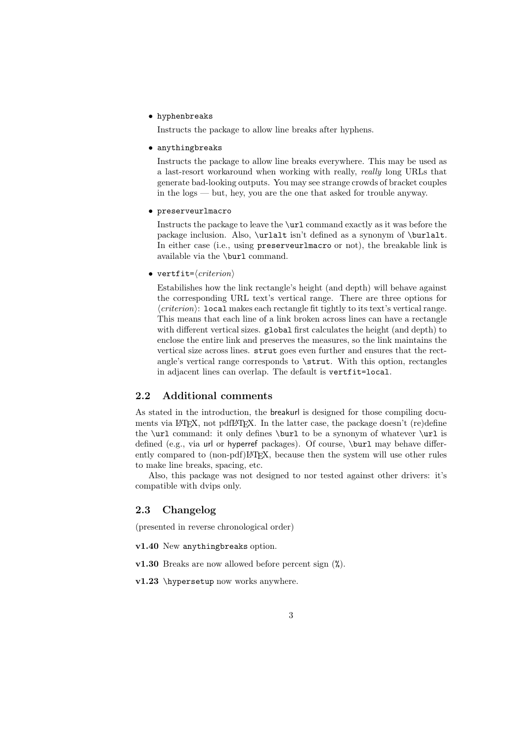• hyphenbreaks

Instructs the package to allow line breaks after hyphens.

• anythingbreaks

Instructs the package to allow line breaks everywhere. This may be used as a last-resort workaround when working with really, really long URLs that generate bad-looking outputs. You may see strange crowds of bracket couples in the logs — but, hey, you are the one that asked for trouble anyway.

• preserveurlmacro

Instructs the package to leave the \url command exactly as it was before the package inclusion. Also, \urlalt isn't defined as a synonym of \burlalt. In either case (i.e., using preserveurlmacro or not), the breakable link is available via the \burl command.

• vertfit= $\langle criterion \rangle$ 

Estabilishes how the link rectangle's height (and depth) will behave against the corresponding URL text's vertical range. There are three options for  $\langle criterion \rangle$ : local makes each rectangle fit tightly to its text's vertical range. This means that each line of a link broken across lines can have a rectangle with different vertical sizes. global first calculates the height (and depth) to enclose the entire link and preserves the measures, so the link maintains the vertical size across lines. strut goes even further and ensures that the rectangle's vertical range corresponds to \strut. With this option, rectangles in adjacent lines can overlap. The default is vertfit=local.

### 2.2 Additional comments

As stated in the introduction, the breakurl is designed for those compiling documents via LAT<sub>EX</sub>, not pdfLAT<sub>EX</sub>. In the latter case, the package doesn't (re)define the \url command: it only defines \burl to be a synonym of whatever \url is defined (e.g., via url or hyperref packages). Of course, \burl may behave differently compared to (non-pdf)LATEX, because then the system will use other rules to make line breaks, spacing, etc.

Also, this package was not designed to nor tested against other drivers: it's compatible with dvips only.

### 2.3 Changelog

(presented in reverse chronological order)

- v1.40 New anythingbreaks option.
- v1.30 Breaks are now allowed before percent sign (%).
- v1.23 \hypersetup now works anywhere.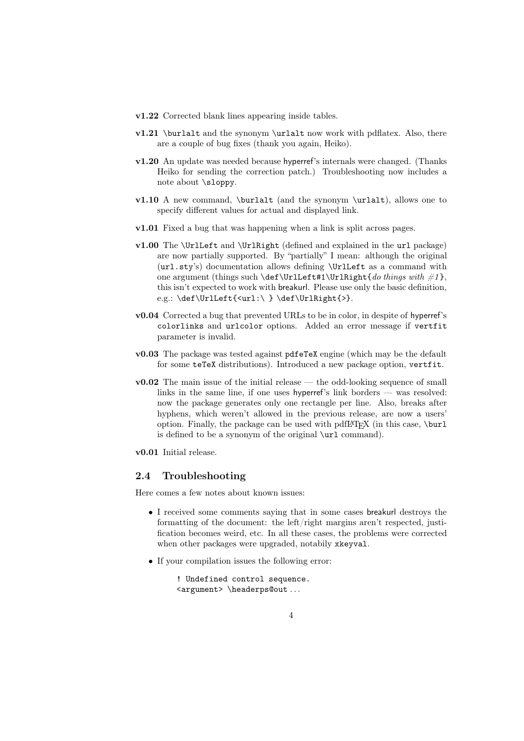- v1.22 Corrected blank lines appearing inside tables.
- $v1.21$  \burlalt and the synonym \urlalt now work with pdflatex. Also, there are a couple of bug fixes (thank you again, Heiko).
- v1.20 An update was needed because hyperref's internals were changed. (Thanks Heiko for sending the correction patch.) Troubleshooting now includes a note about \sloppy.
- v1.10 A new command, \burlalt (and the synonym \urlalt), allows one to specify different values for actual and displayed link.
- v1.01 Fixed a bug that was happening when a link is split across pages.
- v1.00 The \UrlLeft and \UrlRight (defined and explained in the url package) are now partially supported. By "partially" I mean: although the original (url.sty's) documentation allows defining \UrlLeft as a command with one argument (things such \def\UrlLeft#1\UrlRight{do things with  $\#1$ }, this isn't expected to work with breakurl. Please use only the basic definition, e.g.: \def\UrlLeft{<url:\ } \def\UrlRight{>}.
- v0.04 Corrected a bug that prevented URLs to be in color, in despite of hyperref's colorlinks and urlcolor options. Added an error message if vertfit parameter is invalid.
- v0.03 The package was tested against pdfeTeX engine (which may be the default for some teTeX distributions). Introduced a new package option, vertfit.
- v0.02 The main issue of the initial release the odd-looking sequence of small links in the same line, if one uses hyperref's link borders — was resolved: now the package generates only one rectangle per line. Also, breaks after hyphens, which weren't allowed in the previous release, are now a users' option. Finally, the package can be used with pdfI $\Delta$ T<sub>E</sub>X (in this case, \burl is defined to be a synonym of the original  $\url$  command).
- v0.01 Initial release.

#### 2.4 Troubleshooting

Here comes a few notes about known issues:

- I received some comments saying that in some cases breakurl destroys the formatting of the document: the left/right margins aren't respected, justification becomes weird, etc. In all these cases, the problems were corrected when other packages were upgraded, notabily xkeyval.
- If your compilation issues the following error:

```
! Undefined control sequence.
<argument> \headerps@out . . .
```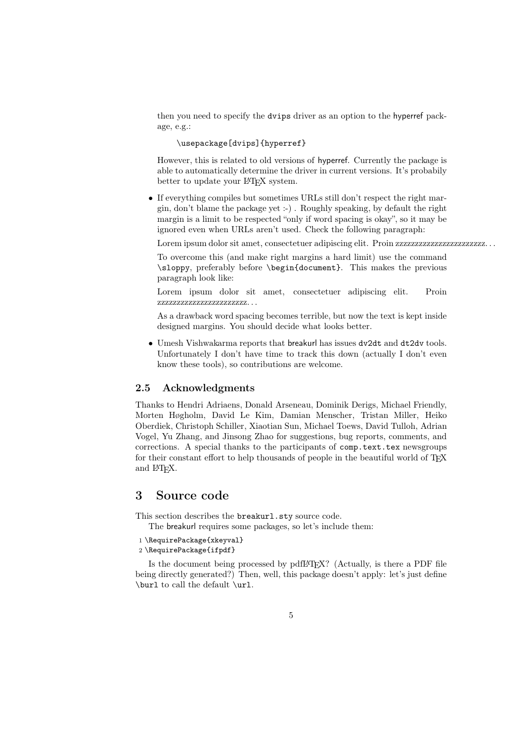then you need to specify the dvips driver as an option to the hyperref package, e.g.:

#### \usepackage[dvips]{hyperref}

However, this is related to old versions of hyperref. Currently the package is able to automatically determine the driver in current versions. It's probabily better to update your LAT<sub>EX</sub> system.

• If everything compiles but sometimes URLs still don't respect the right margin, don't blame the package yet :-) . Roughly speaking, by default the right margin is a limit to be respected "only if word spacing is okay", so it may be ignored even when URLs aren't used. Check the following paragraph:

Lorem ipsum dolor sit amet, consectetuer adipiscing elit. Proin zzzzzzzzzzzzzzzzzzzzzzz. . .

To overcome this (and make right margins a hard limit) use the command \sloppy, preferably before \begin{document}. This makes the previous paragraph look like:

Lorem ipsum dolor sit amet, consectetuer adipiscing elit. Proin zzzzzzzzzzzzzzzzzzzzzzz. . .

As a drawback word spacing becomes terrible, but now the text is kept inside designed margins. You should decide what looks better.

• Umesh Vishwakarma reports that breakurl has issues dv2dt and dt2dv tools. Unfortunately I don't have time to track this down (actually I don't even know these tools), so contributions are welcome.

### 2.5 Acknowledgments

Thanks to Hendri Adriaens, Donald Arseneau, Dominik Derigs, Michael Friendly, Morten Høgholm, David Le Kim, Damian Menscher, Tristan Miller, Heiko Oberdiek, Christoph Schiller, Xiaotian Sun, Michael Toews, David Tulloh, Adrian Vogel, Yu Zhang, and Jinsong Zhao for suggestions, bug reports, comments, and corrections. A special thanks to the participants of comp.text.tex newsgroups for their constant effort to help thousands of people in the beautiful world of TFX and L<sup>AT</sup><sub>E</sub>X.

# 3 Source code

This section describes the **breakurl**.sty source code.

The breakurl requires some packages, so let's include them:

- 1 \RequirePackage{xkeyval}
- 2 \RequirePackage{ifpdf}

Is the document being processed by pdfLAT<sub>EX</sub>? (Actually, is there a PDF file being directly generated?) Then, well, this package doesn't apply: let's just define \burl to call the default \url.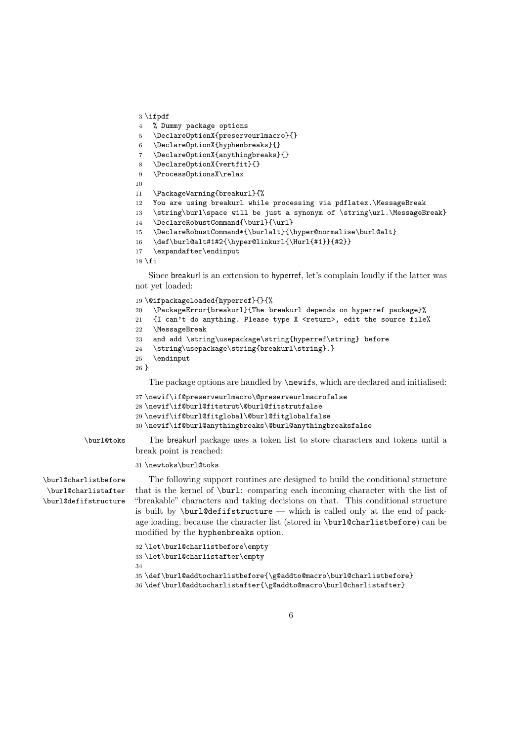```
3 \ifpdf
4 % Dummy package options
5 \DeclareOptionX{preserveurlmacro}{}
6 \DeclareOptionX{hyphenbreaks}{}
7 \DeclareOptionX{anythingbreaks}{}
8 \DeclareOptionX{vertfit}{}
9 \ProcessOptionsX\relax
10
11 \PackageWarning{breakurl}{%
12 You are using breakurl while processing via pdflatex.\MessageBreak
13 \string\burl\space will be just a synonym of \string\url.\MessageBreak}
14 \DeclareRobustCommand{\burl}{\url}
15 \DeclareRobustCommand*{\burlalt}{\hyper@normalise\burl@alt}
16 \def\burl@alt#1#2{\hyper@linkurl{\Hurl{#1}}{#2}}
17 \expandafter\endinput
18 \fi
   Since breakurl is an extension to hyperref, let's complain loudly if the latter was
```
not yet loaded:

```
19 \@ifpackageloaded{hyperref}{}{%
20 \PackageError{breakurl}{The breakurl depends on hyperref package}%
21 {I can't do anything. Please type X <return>, edit the source file%
22 \MessageBreak
23 and add \string\usepackage\string{hyperref\string} before
24 \string\usepackage\string{breakurl\string}.}
25 \endinput
26 }
```
The package options are handled by \newifs, which are declared and initialised:

```
27 \newif\if@preserveurlmacro\@preserveurlmacrofalse
28 \newline \label{thm:10} $$29 \newif\if@burl@fitglobal\@burl@fitglobalfalse
30 \newif\if@burl@anythingbreaks\@burl@anythingbreaksfalse
```
\burl@toks The breakurl package uses a token list to store characters and tokens until a break point is reached:

\newtoks\burl@toks

\burl@charlistafter \burl@defifstructure

\burl@charlistbefore The following support routines are designed to build the conditional structure that is the kernel of \burl: comparing each incoming character with the list of "breakable" characters and taking decisions on that. This conditional structure is built by  $\bar{\text{def}}$  is called only at the end of package loading, because the character list (stored in \burl@charlistbefore) can be modified by the hyphenbreaks option.

```
32 \let\burl@charlistbefore\empty
33 \let\burl@charlistafter\empty
34
35 \def\burl@addtocharlistbefore{\g@addto@macro\burl@charlistbefore}
36 \def\burl@addtocharlistafter{\g@addto@macro\burl@charlistafter}
```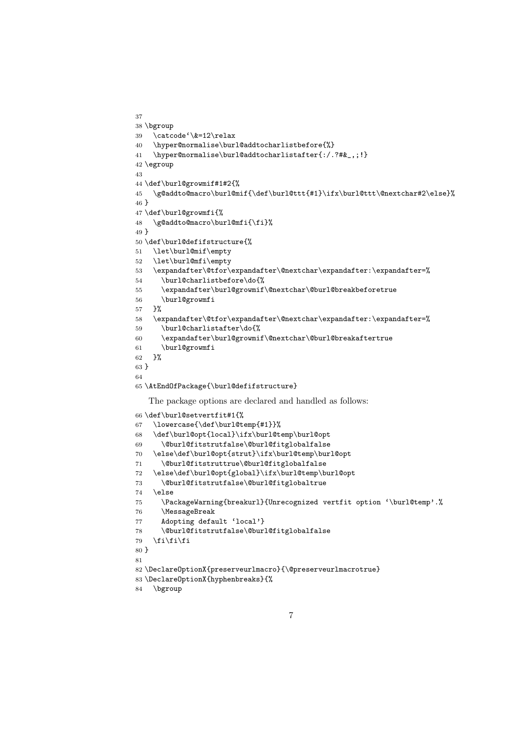```
37
38 \bgroup
39 \catcode'\&=12\relax
40 \hyper@normalise\burl@addtocharlistbefore{%}
41 \hyper@normalise\burl@addtocharlistafter{:/.?#&_,;!}
42 \egroup
43
44 \def\burl@growmif#1#2{%
45 \g@addto@macro\burl@mif{\def\burl@ttt{#1}\ifx\burl@ttt\@nextchar#2\else}%
46 }
47 \def\burl@growmfi{%
48 \g@addto@macro\burl@mfi{\fi}%
49 }
50 \def\burl@defifstructure{%
51 \let\burl@mif\empty
52 \let\burl@mfi\empty
53 \ \ \exp and after \@tfor\exp and after \@nextchar{!}{\exp and after} \54 \burl@charlistbefore\do{%
55 \expandafter\burl@growmif\@nextchar\@burl@breakbeforetrue
56 \burl@growmfi
57 }%
58 \expandafter\@tfor\expandafter\@nextchar\expandafter:\expandafter=%
59 \burl@charlistafter\do{%
60 \expandafter\burl@growmif\@nextchar\@burl@breakaftertrue
61 \burl@growmfi
62 }%
63 }
64
65 \AtEndOfPackage{\burl@defifstructure}
   The package options are declared and handled as follows:
66 \def\burl@setvertfit#1{%
67 \lowercase{\def\burl@temp{#1}}%
68 \def\burl@opt{local}\ifx\burl@temp\burl@opt
69 \@burl@fitstrutfalse\@burl@fitglobalfalse
70 \else\def\burl@opt{strut}\ifx\burl@temp\burl@opt
71 \@burl@fitstruttrue\@burl@fitglobalfalse
72 \else\def\burl@opt{global}\ifx\burl@temp\burl@opt
73 \@burl@fitstrutfalse\@burl@fitglobaltrue
74 \else
75 \PackageWarning{breakurl}{Unrecognized vertfit option '\burl@temp'.%
76 \MessageBreak
77 Adopting default 'local'}
78 \@burl@fitstrutfalse\@burl@fitglobalfalse
79 \fi\fi\fi
80 }
81
82 \DeclareOptionX{preserveurlmacro}{\@preserveurlmacrotrue}
83 \DeclareOptionX{hyphenbreaks}{%
```

```
84 \bgroup
```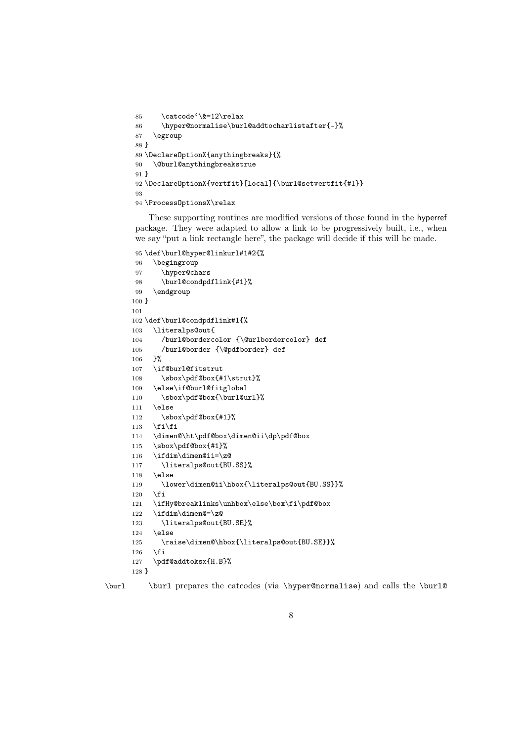```
85 \catcode'\&=12\relax
86 \hyper@normalise\burl@addtocharlistafter{-}%
87 \egroup
88 }
89 \DeclareOptionX{anythingbreaks}{%
90 \@burl@anythingbreakstrue
91 }
92 \DeclareOptionX{vertfit}[local]{\burl@setvertfit{#1}}
93
94 \ProcessOptionsX\relax
```
These supporting routines are modified versions of those found in the hyperref package. They were adapted to allow a link to be progressively built, i.e., when we say "put a link rectangle here", the package will decide if this will be made.

```
95 \def\burl@hyper@linkurl#1#2{%
```

```
96 \begingroup
97 \hyper@chars
98 \burl@condpdflink{#1}%
99 \endgroup
100 }
101
102 \def\burl@condpdflink#1{%
103 \literalps@out{
104 /burl@bordercolor {\@urlbordercolor} def
105 /burl@border {\@pdfborder} def
106 }%
107 \if@burl@fitstrut
108 \sbox\pdf@box{#1\strut}%
109 \else\if@burl@fitglobal
110 \sbox\pdf@box{\burl@url}%
111 \else
112 \sbox\pdf@box{#1}%
113 \if{ifi}114 \dimen@\ht\pdf@box\dimen@ii\dp\pdf@box
115 \sbox\pdf@box{#1}%
116 \ifdim\dimen@ii=\z@
117 \literalps@out{BU.SS}%
118 \else
119 \lower\dimen@ii\hbox{\literalps@out{BU.SS}}%
120 \overline{120}121 \ifHy@breaklinks\unhbox\else\box\fi\pdf@box
122 \ifdim\dimen@=\z@
123 \literalps@out{BU.SE}%
124 \else
125 \raise\dimen@\hbox{\literalps@out{BU.SE}}%
126 \fi
127 \pdf@addtoksx{H.B}%
128 }
```
\burl \burl prepares the catcodes (via \hyper@normalise) and calls the \burl@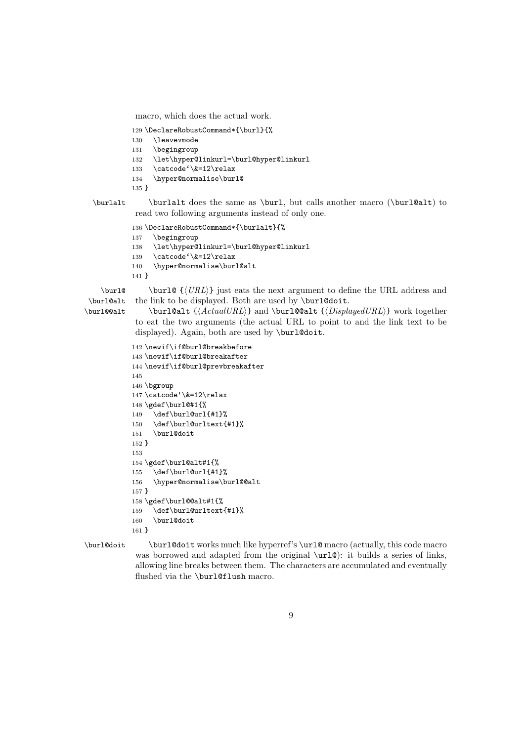macro, which does the actual work.

```
129 \DeclareRobustCommand*{\burl}{%
```
- \leavevmode
- \begingroup
- \let\hyper@linkurl=\burl@hyper@linkurl
- \catcode'\&=12\relax
- \hyper@normalise\burl@
- }

\burlalt \burlalt does the same as \burl, but calls another macro (\burl@alt) to read two following arguments instead of only one.

```
136 \DeclareRobustCommand*{\burlalt}{%
137 \begingroup
138 \let\hyper@linkurl=\burl@hyper@linkurl
139 \catcode'\&=12\relax
140 \hyper@normalise\burl@alt
141 }
```
\burl@alt \burl@@alt

 $\bur1@ \{ \langle URL \}$  just eats the next argument to define the URL address and the link to be displayed. Both are used by \burl@doit.

\burl@alt { $\{Actual URL\}$ } and \burl@@alt { $\{DisplayedURL\}$ } work together to eat the two arguments (the actual URL to point to and the link text to be displayed). Again, both are used by \burl@doit.

```
142 \newif\if@burl@breakbefore
143 \newif\if@burl@breakafter
144 \newif\if@burl@prevbreakafter
145
146 \bgroup
147 \catcode'\&=12\relax
148 \gdef\burl@#1{%
149 \def\burl@url{#1}%
150 \def\burl@urltext{#1}%
151 \burl@doit
152 }
153
154 \gdef\burl@alt#1{%
155 \def\burl@url{#1}%
156 \hyper@normalise\burl@@alt
157 }
158 \gdef\burl@@alt#1{%
159 \def\burl@urltext{#1}%
160 \burl@doit
161 }
```
\burl@doit \burl@doit works much like hyperref's \url@ macro (actually, this code macro was borrowed and adapted from the original  $\url@$ : it builds a series of links, allowing line breaks between them. The characters are accumulated and eventually flushed via the \burl@flush macro.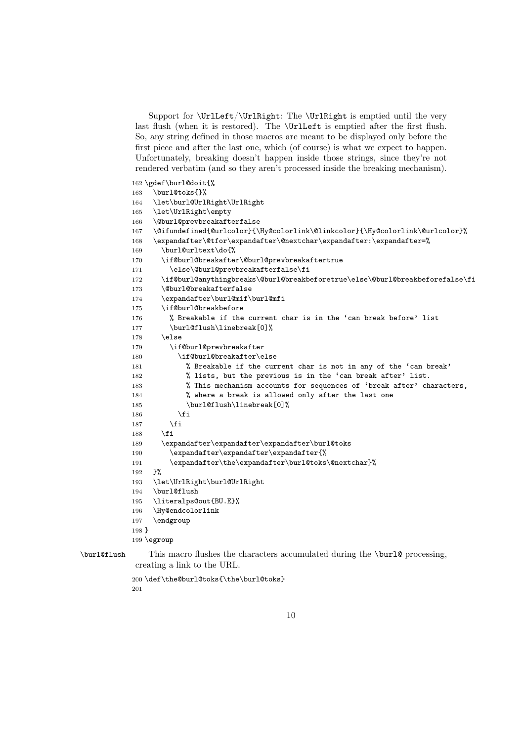Support for  $\Upsilon/\Upsilon$ Right: The  $\Upsilon$  is emptied until the very last flush (when it is restored). The *\UrlLeft* is emptied after the first flush. So, any string defined in those macros are meant to be displayed only before the first piece and after the last one, which (of course) is what we expect to happen. Unfortunately, breaking doesn't happen inside those strings, since they're not rendered verbatim (and so they aren't processed inside the breaking mechanism).

# \gdef\burl@doit{%

```
163 \burl@toks{}%
164 \let\burl@UrlRight\UrlRight
165 \let\UrlRight\empty
166 \@burl@prevbreakafterfalse
167 \@ifundefined{@urlcolor}{\Hy@colorlink\@linkcolor}{\Hy@colorlink\@urlcolor}%
168 \expandafter\@tfor\expandafter\@nextchar\expandafter:\expandafter=%
169 \burl@urltext\do{%
170 \if@burl@breakafter\@burl@prevbreakaftertrue
171 \else\@burl@prevbreakafterfalse\fi
172 \if@burl@anythingbreaks\@burl@breakbeforetrue\else\@burl@breakbeforefalse\fi
173 \@burl@breakafterfalse
174 \expandafter\burl@mif\burl@mfi
175 \if@burl@breakbefore
176 % Breakable if the current char is in the 'can break before' list
177 \burl@flush\linebreak[0]%
178 \else
179 \if@burl@prevbreakafter
180 \if@burl@breakafter\else
181 % Breakable if the current char is not in any of the 'can break'
182 % lists, but the previous is in the 'can break after' list.
183 % This mechanism accounts for sequences of 'break after' characters,
184 % where a break is allowed only after the last one
185 \burl@flush\linebreak[0]%
186 \fi
187 \fi
188 \fi
189 \hspace{13pt} \texttt{\textbf{expr}}\xpace{10pt}190 \expandafter\expandafter\expandafter{%
191 \expandafter\the\expandafter\burl@toks\@nextchar}%
192 }%
193 \let\UrlRight\burl@UrlRight
194 \burl@flush
195 \literalps@out{BU.E}%
196 \Hy@endcolorlink
197 \endgroup
198 }
199 \egroup
```
\burl@flush This macro flushes the characters accumulated during the \burl@ processing, creating a link to the URL.

```
200 \def\the@burl@toks{\the\burl@toks}
201
```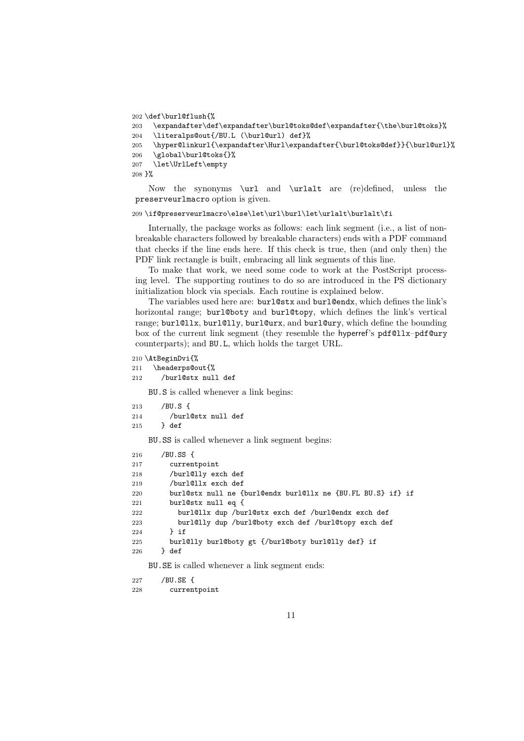```
202 \def\burl@flush{%
```

```
203 \expandafter\def\expandafter\burl@toks@def\expandafter{\the\burl@toks}%
204 \literalps@out{/BU.L (\burl@url) def}%
205 \hyper@linkurl{\expandafter\Hurl\expandafter{\burl@toks@def}}{\burl@url}%
206 \global\burl@toks{}%
207 \let\UrlLeft\empty
208 }%
```
Now the synonyms \url and \urlalt are (re)defined, unless the preserveurlmacro option is given.

209 \if@preserveurlmacro\else\let\url\burl\let\urlalt\burlalt\fi

Internally, the package works as follows: each link segment (i.e., a list of nonbreakable characters followed by breakable characters) ends with a PDF command that checks if the line ends here. If this check is true, then (and only then) the PDF link rectangle is built, embracing all link segments of this line.

To make that work, we need some code to work at the PostScript processing level. The supporting routines to do so are introduced in the PS dictionary initialization block via specials. Each routine is explained below.

The variables used here are: burl@stx and burl@endx, which defines the link's horizontal range; burl@boty and burl@topy, which defines the link's vertical range; burl@llx, burl@lly, burl@urx, and burl@ury, which define the bounding box of the current link segment (they resemble the hyperref's pdf@llx–pdf@ury counterparts); and BU.L, which holds the target URL.

```
210 \AtBeginDvi{%
```

```
211 \headerps@out{%
```

```
212 /burl@stx null def
```
BU.S is called whenever a link begins:

```
213 /BU.S {
214 /burl@stx null def
215 } def
```
BU.SS is called whenever a link segment begins:

```
216 /BU.SS {
217 currentpoint
218 /burl@lly exch def
219 /burl@llx exch def
220 burl@stx null ne {burl@endx burl@llx ne {BU.FL BU.S} if} if
221 burl@stx null eq {
222 burl@llx dup /burl@stx exch def /burl@endx exch def
223 burl@lly dup /burl@boty exch def /burl@topy exch def
224 } if
225 burl@lly burl@boty gt {/burl@boty burl@lly def} if
226 } def
```
BU.SE is called whenever a link segment ends:

227 /BU.SE { 228 currentpoint